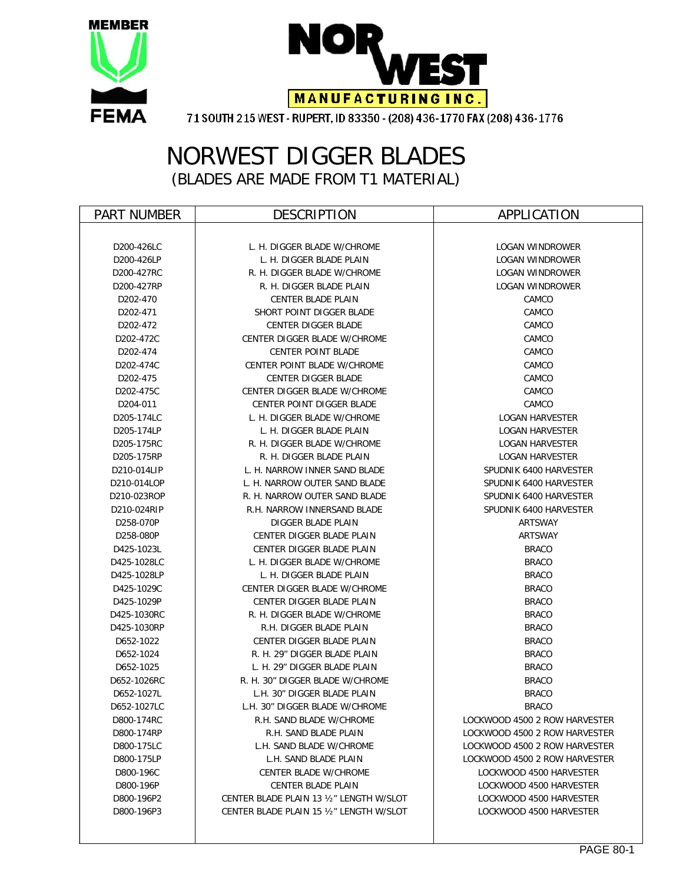



### NORWEST DIGGER BLADES (BLADES ARE MADE FROM T1 MATERIAL)

| <b>PART NUMBER</b> | <b>DESCRIPTION</b>                       | APPLICATION                   |  |  |
|--------------------|------------------------------------------|-------------------------------|--|--|
|                    |                                          |                               |  |  |
| D200-426LC         | L. H. DIGGER BLADE W/CHROME              | <b>LOGAN WINDROWER</b>        |  |  |
| D200-426LP         | L. H. DIGGER BLADE PLAIN                 | LOGAN WINDROWER               |  |  |
| D200-427RC         | R. H. DIGGER BLADE W/CHROME              | LOGAN WINDROWER               |  |  |
| D200-427RP         | R. H. DIGGER BLADE PLAIN                 | <b>LOGAN WINDROWER</b>        |  |  |
| D202-470           | CENTER BLADE PLAIN                       | CAMCO                         |  |  |
| D202-471           | SHORT POINT DIGGER BLADE                 | CAMCO                         |  |  |
| D202-472           | <b>CENTER DIGGER BLADE</b>               | CAMCO                         |  |  |
| D202-472C          | CENTER DIGGER BLADE W/CHROME             | CAMCO                         |  |  |
| D202-474           | <b>CENTER POINT BLADE</b>                | CAMCO                         |  |  |
| D202-474C          | CENTER POINT BLADE W/CHROME              | CAMCO                         |  |  |
| D202-475           | <b>CENTER DIGGER BLADE</b>               | CAMCO                         |  |  |
| D202-475C          | CENTER DIGGER BLADE W/CHROME             | CAMCO                         |  |  |
| D204-011           | <b>CENTER POINT DIGGER BLADE</b>         | CAMCO                         |  |  |
| D205-174LC         | L. H. DIGGER BLADE W/CHROME              | <b>LOGAN HARVESTER</b>        |  |  |
| D205-174LP         | L. H. DIGGER BLADE PLAIN                 | <b>LOGAN HARVESTER</b>        |  |  |
| D205-175RC         | R. H. DIGGER BLADE W/CHROME              | <b>LOGAN HARVESTER</b>        |  |  |
| D205-175RP         | R. H. DIGGER BLADE PLAIN                 | <b>LOGAN HARVESTER</b>        |  |  |
| D210-014LIP        | L. H. NARROW INNER SAND BLADE            | SPUDNIK 6400 HARVESTER        |  |  |
| D210-014LOP        | L. H. NARROW OUTER SAND BLADE            | SPUDNIK 6400 HARVESTER        |  |  |
| D210-023ROP        | R. H. NARROW OUTER SAND BLADE            | SPUDNIK 6400 HARVESTER        |  |  |
| D210-024RIP        | R.H. NARROW INNERSAND BLADE              | SPUDNIK 6400 HARVESTER        |  |  |
| D258-070P          | DIGGER BLADE PLAIN                       | ARTSWAY                       |  |  |
| D258-080P          | CENTER DIGGER BLADE PLAIN                | ARTSWAY                       |  |  |
| D425-1023L         | CENTER DIGGER BLADE PLAIN                | <b>BRACO</b>                  |  |  |
| D425-1028LC        | L. H. DIGGER BLADE W/CHROME              | <b>BRACO</b>                  |  |  |
| D425-1028LP        | L. H. DIGGER BLADE PLAIN                 | <b>BRACO</b>                  |  |  |
| D425-1029C         | <b>CENTER DIGGER BLADE W/CHROME</b>      | <b>BRACO</b>                  |  |  |
| D425-1029P         | CENTER DIGGER BLADE PLAIN                | <b>BRACO</b>                  |  |  |
| D425-1030RC        | R. H. DIGGER BLADE W/CHROME              | <b>BRACO</b>                  |  |  |
| D425-1030RP        | R.H. DIGGER BLADE PLAIN                  | <b>BRACO</b>                  |  |  |
| D652-1022          | CENTER DIGGER BLADE PLAIN                | <b>BRACO</b>                  |  |  |
| D652-1024          | R. H. 29" DIGGER BLADE PLAIN             | <b>BRACO</b>                  |  |  |
| D652-1025          | L. H. 29" DIGGER BLADE PLAIN             | <b>BRACO</b>                  |  |  |
| D652-1026RC        | R. H. 30" DIGGER BLADE W/CHROME          | <b>BRACO</b>                  |  |  |
| D652-1027L         | L.H. 30" DIGGER BLADE PLAIN              | <b>BRACO</b>                  |  |  |
| D652-1027LC        | L.H. 30" DIGGER BLADE W/CHROME           | <b>BRACO</b>                  |  |  |
| D800-174RC         | R.H. SAND BLADE W/CHROME                 | LOCKWOOD 4500 2 ROW HARVESTER |  |  |
| D800-174RP         | R.H. SAND BLADE PLAIN                    | LOCKWOOD 4500 2 ROW HARVESTER |  |  |
| D800-175LC         | L.H. SAND BLADE W/CHROME                 | LOCKWOOD 4500 2 ROW HARVESTER |  |  |
| D800-175LP         | L.H. SAND BLADE PLAIN                    | LOCKWOOD 4500 2 ROW HARVESTER |  |  |
| D800-196C          | CENTER BLADE W/CHROME                    | LOCKWOOD 4500 HARVESTER       |  |  |
| D800-196P          | <b>CENTER BLADE PLAIN</b>                | LOCKWOOD 4500 HARVESTER       |  |  |
| D800-196P2         | CENTER BLADE PLAIN 13 1/2" LENGTH W/SLOT | LOCKWOOD 4500 HARVESTER       |  |  |
| D800-196P3         | CENTER BLADE PLAIN 15 1/2" LENGTH W/SLOT | LOCKWOOD 4500 HARVESTER       |  |  |
|                    |                                          |                               |  |  |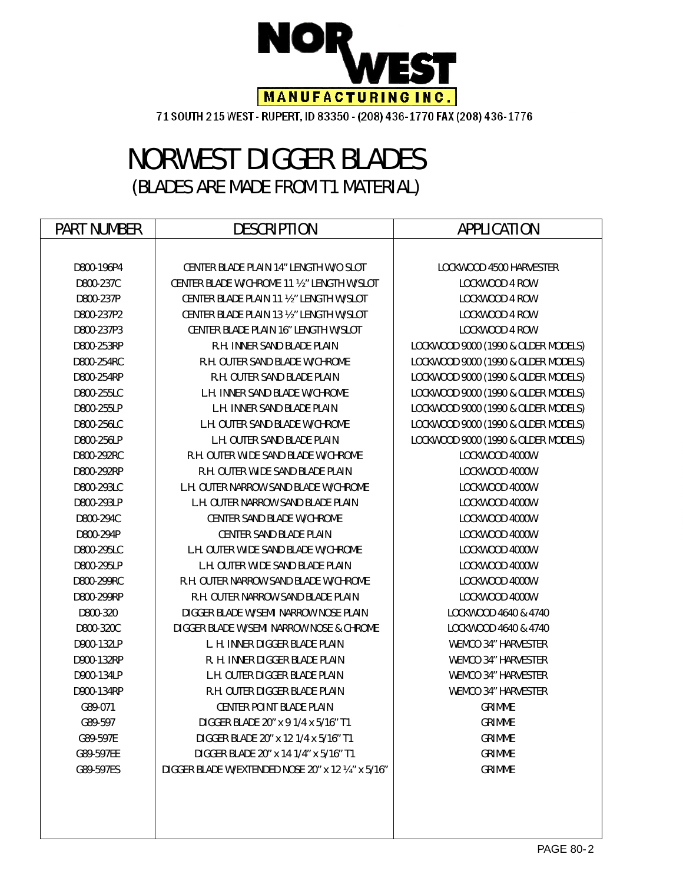

# NORWEST DIGGER BLADES (BLADES ARE MADE FROM T1 MATERIAL)

| <b>PART NUMBER</b> | <b>DESCRIPTION</b>                                 | <b>APPLICATION</b>                  |  |  |
|--------------------|----------------------------------------------------|-------------------------------------|--|--|
|                    |                                                    |                                     |  |  |
| D800-196P4         | CENTER BLADE PLAIN 14" LENGTH W/O SLOT             | LOCKWOOD 4500 HARVESTER             |  |  |
| D800-237C          | CENTER BLADE W/CHROME 11 1/2" LENGTH W/SLOT        | LOCKWOOD 4 ROW                      |  |  |
| D800-237P          | CENTER BLADE PLAIN 11 1/2" LENGTH W/SLOT           | LOCKWOOD 4 ROW                      |  |  |
| D800-237P2         | CENTER BLADE PLAIN 13 1/2" LENGTH W/SLOT           | LOCKWOOD 4 ROW                      |  |  |
| D800-237P3         | CENTER BLADE PLAIN 16" LENGTH W/SLOT               | LOCKWOOD 4 ROW                      |  |  |
| D800-253RP         | R.H. INNER SAND BLADE PLAIN                        | LOCKWOOD 9000 (1990 & OLDER MODELS) |  |  |
| D800-254RC         | R.H. OUTER SAND BLADE W/CHROME                     | LOCKWOOD 9000 (1990 & OLDER MODELS) |  |  |
| D800-254RP         | <b>R.H. OUTER SAND BLADE PLAIN</b>                 | LOCKWOOD 9000 (1990 & OLDER MODELS) |  |  |
| D800-255LC         | <b>L.H. INNER SAND BLADE W/CHROME</b>              | LOCKWOOD 9000 (1990 & OLDER MODELS) |  |  |
| D800-255LP         | L.H. INNER SAND BLADE PLAIN                        | LOCKWOOD 9000 (1990 & OLDER MODELS) |  |  |
| D800-256LC         | L.H. OUTER SAND BLADE W/CHROME                     | LOCKWOOD 9000 (1990 & OLDER MODELS) |  |  |
| D800-256LP         | <b>L.H. OUTER SAND BLADE PLAIN</b>                 | LOCKWOOD 9000 (1990 & OLDER MODELS) |  |  |
| D800-292RC         | R.H. OUTER WIDE SAND BLADE W/CHROME                | LOCKWOOD 4000W                      |  |  |
| D800-292RP         | R.H. OUTER WIDE SAND BLADE PLAIN                   | LOCKWOOD 4000W                      |  |  |
| D800-293LC         | L.H. OUTER NARROW SAND BLADE W/CHROME              | LOCKWOOD 4000W                      |  |  |
| D800-293LP         | L.H. OUTER NARROW SAND BLADE PLAIN                 | LOCKWOOD 4000W                      |  |  |
| D800-294C          | <b>CENTER SAND BLADE W/CHROME</b>                  | LOCKWOOD 4000W                      |  |  |
| D800-294P          | <b>CENTER SAND BLADE PLAIN</b>                     | LOCKWOOD 4000W                      |  |  |
| D800-295LC         | L.H. OUTER WIDE SAND BLADE W/CHROME                | LOCKWOOD 4000W                      |  |  |
| D800-295LP         | L.H. OUTER WIDE SAND BLADE PLAIN                   | LOCKWOOD 4000W                      |  |  |
| D800-299RC         | R.H. OUTER NARROW SAND BLADE W/CHROME              | LOCKWOOD 4000W                      |  |  |
| D800-299RP         | R.H. OUTER NARROW SAND BLADE PLAIN                 | LOCKWOOD 4000W                      |  |  |
| D800-320           | DIGGER BLADE W/SEMI NARROW NOSE PLAIN              | LOCKWOOD 4640 & 4740                |  |  |
| D800-320C          | DIGGER BLADE W/SEMI NARROW NOSE & CHROME           | LOCKWOOD 4640 & 4740                |  |  |
| D900-132LP         | L. H. INNER DIGGER BLADE PLAIN                     | <b>WEMCO 34" HARVESTER</b>          |  |  |
| D900-132RP         | R. H. INNER DIGGER BLADE PLAIN                     | <b>WEMCO 34" HARVESTER</b>          |  |  |
| D900-134LP         | L.H. OUTER DIGGER BLADE PLAIN                      | <b>WEMCO 34" HARVESTER</b>          |  |  |
| D900-134RP         | R.H. OUTER DIGGER BLADE PLAIN                      | <b>WEMCO 34" HARVESTER</b>          |  |  |
| G89-071            | <b>CENTER POINT BLADE PLAIN</b>                    | <b>GRIMME</b>                       |  |  |
| G89-597            | DIGGER BLADE 20" x 9 1/4 x 5/16" T1                | <b>GRIMME</b>                       |  |  |
| G89-597E           | DIGGER BLADE 20" x 12 1/4 x 5/16" T1               | <b>GRIMME</b>                       |  |  |
| G89-597EE          | DIGGER BLADE 20" x 14 1/4" x 5/16" T1              | <b>GRIMME</b>                       |  |  |
| G89-597ES          | DIGGER BLADE W/EXTENDED NOSE 20" x 12 1/4" x 5/16" | <b>GRIMME</b>                       |  |  |
|                    |                                                    |                                     |  |  |
|                    |                                                    |                                     |  |  |
|                    |                                                    |                                     |  |  |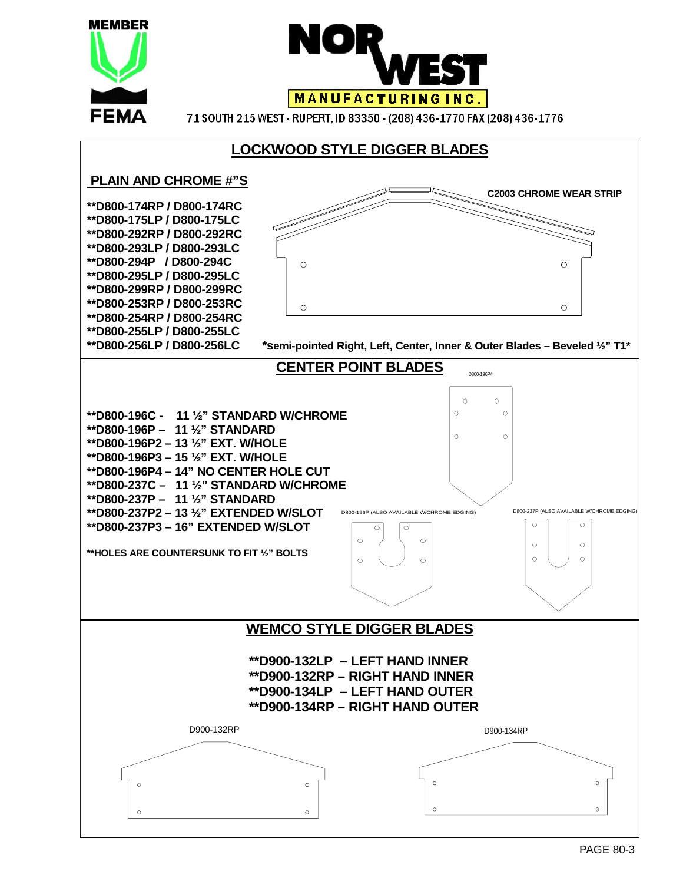

 $\alpha$ 

 $\Omega$ 

 $\circ$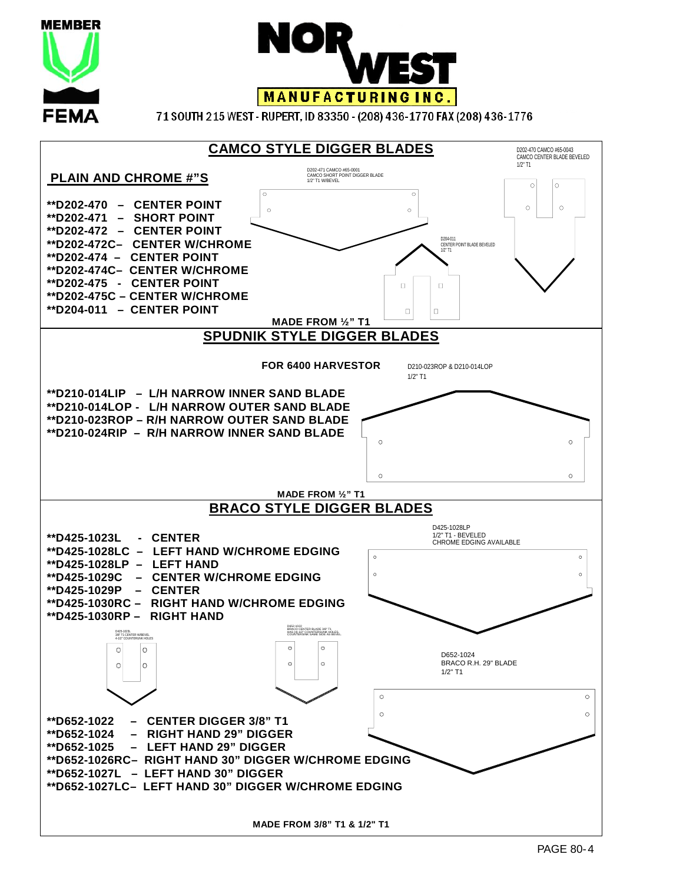

**MEMBER** 

**FEMA** 

71 SOUTH 215 WEST - RUPERT, ID 83350 - (208) 436-1770 FAX (208) 436-1776

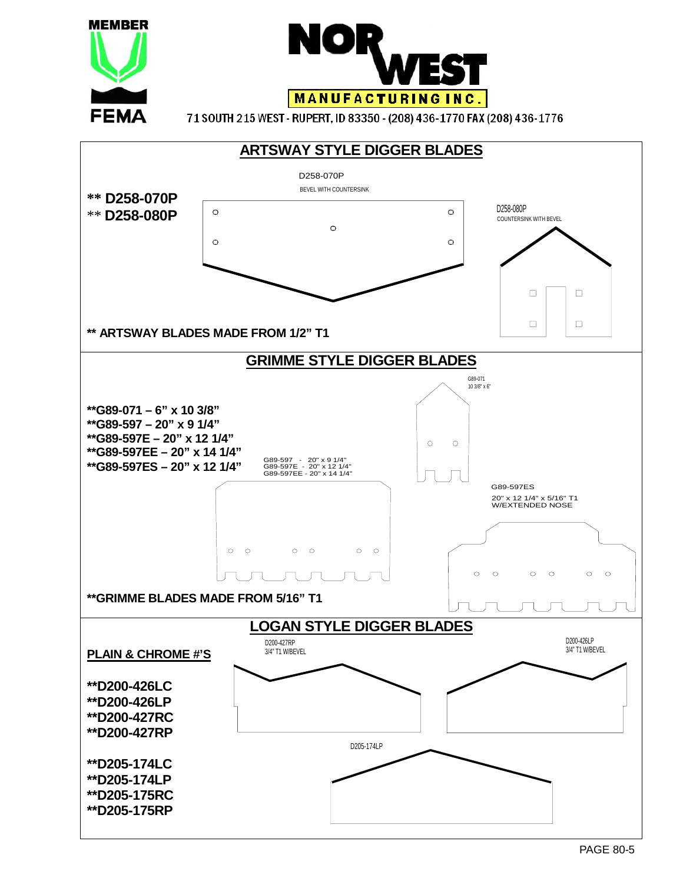

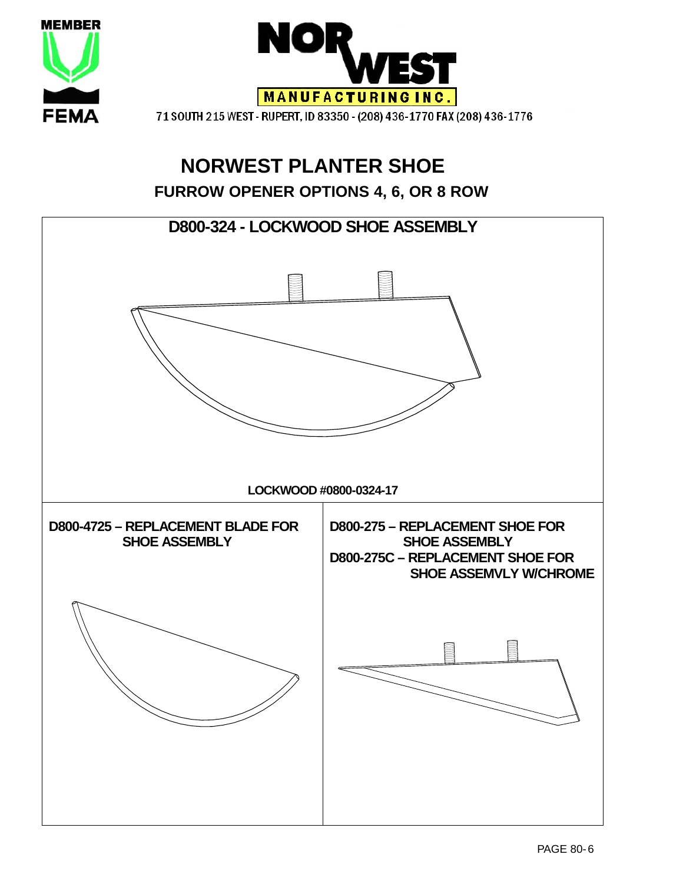

## **NORWEST PLANTER SHOE FURROW OPENER OPTIONS 4, 6, OR 8 ROW**

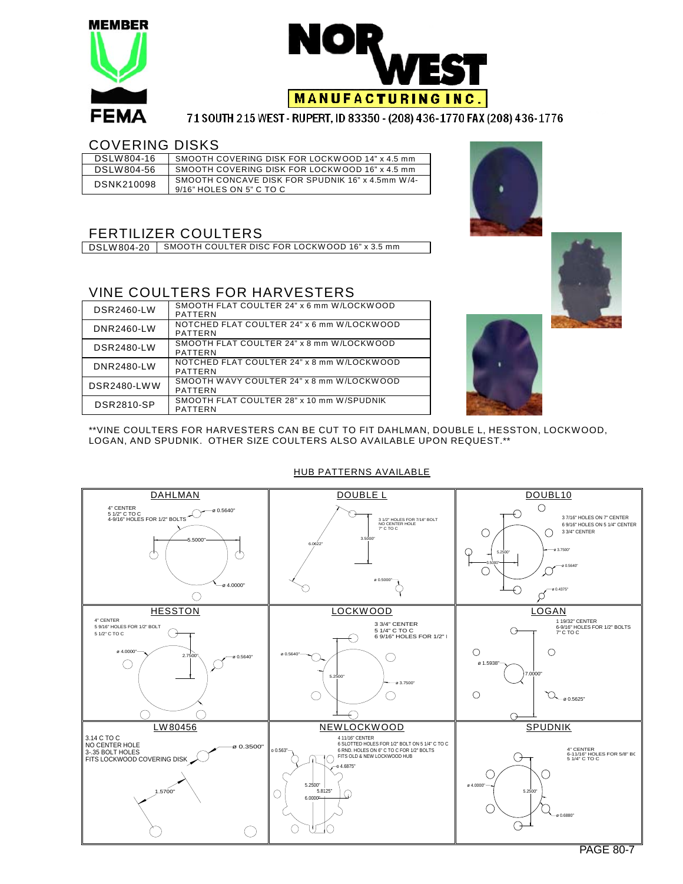



#### COVERING DISKS

| DSLW804-16 | SMOOTH COVERING DISK FOR LOCKWOOD 14" x 4.5 mm                               |
|------------|------------------------------------------------------------------------------|
| DSLW804-56 | SMOOTH COVERING DISK FOR LOCKWOOD 16" x 4.5 mm                               |
| DSNK210098 | SMOOTH CONCAVE DISK FOR SPUDNIK 16" x 4.5mm W/4-<br>9/16" HOLES ON 5" C TO C |

### FERTILIZER COULTERS

DSLW804-20 | SMOOTH COULTER DISC FOR LOCKWOOD 16" x 3.5 mm

#### VINE COULTERS FOR HARVESTERS

| DSR2460-LW         | SMOOTH FLAT COULTER 24" x 6 mm W/LOCKWOOD<br>PATTERN  |
|--------------------|-------------------------------------------------------|
| DNR2460-LW         | NOTCHED FLAT COULTER 24" x 6 mm W/LOCKWOOD<br>PATTERN |
| <b>DSR2480-LW</b>  | SMOOTH FLAT COULTER 24" x 8 mm W/LOCKWOOD<br>PATTERN  |
| DNR2480-LW         | NOTCHED FLAT COULTER 24" x 8 mm W/LOCKWOOD<br>PATTERN |
| <b>DSR2480-LWW</b> | SMOOTH WAVY COULTER 24" x 8 mm W/LOCKWOOD<br>PATTERN  |
| DSR2810-SP         | SMOOTH FLAT COULTER 28" x 10 mm W/SPUDNIK<br>PATTERN  |





#### DAHLMAN DOUBLE LAND DOUBLE DOUBL10  $\bigcirc$ 4" CENTER<br>5 1/2" C TO C<br>4-9/16" HOLES FOR 1/2" BOLTS 3 1/2" HOLES FOR 7/16" BOLT € 3 7/16" HOLES ON 7" CENTER NO CENTER HOLE 7" C TO C 6 9/16" HOLES ON 5 1/4" CENTER 3 3/4" CENTER  $\bigcirc$  $\bigcirc$ 5.5000" 3.5000" 6.0622" Ò Ò  $\mathbb{Q}$ ø 3.7500" 5.2500" 3.5000" ø 0.5640" C ⊂ ø 0.5000" ø 4.0000"  $\breve{\mathsf{Q}}$ € ø 0.4375"  $\circ$ Ø HESSTON LOCKWOOD LOGAN 4" CENTER 1 19/32" CENTER 6-9/16" HOLES FOR 1/2" BOLTS 7" C TO C 3 3/4" CENTER<br>5 1/4" C TO C<br>6 9/16" HOLES FOR 1/2" | 5 9/16" HOLES FOR 1/2" BOLT 5 1/2" C TO C  $\Theta$ ⊖ ⊖  $\circ$  $\circ$  $\frac{27}{27}$ ø 0.5640"  $\bigcirc$ ø 0.5640"  $\bigcirc$ C ø 1.5938" 7.0000" 5.2500" ø 3.7500"  $\bigcirc$  $\bigcirc$  $\bigcirc$  $Q_{\bullet 0.5625}$  $\bigcirc$  $\subset$  $\bigcap$ LW80456 NEWLOCKWOOD SPUDNIK 3.14 C TO C 4 11/16" CENTER 6 SLOTTED HOLES FOR 1/2" BOLT ON 5 1/4" C TO C 6 RND. HOLES ON 6" C TO C FOR 1/2" BOLTS NO CENTER HOLE 3-.35 BOLT HOLES FITS LOCKWOOD COVERING DISK ø 0.3500"o 0.563" 4" CENTER<br>6-11/16" HOLES FOR 5/8" BC<br>5 1/4" C TO C FITS OLD & NEW LOCKWOOD HUB G IО  $.6875'$ С 5.2500" |<br>5.8125 ø 4.0000" 1.5700"  $\bigcup$  5.8125" 5.2500" 6.0000" ø 0.6880" ⊖  $\bigcirc$ ⊍⊡o  $\bigcirc$

#### HUB PATTERNS AVAILABLE